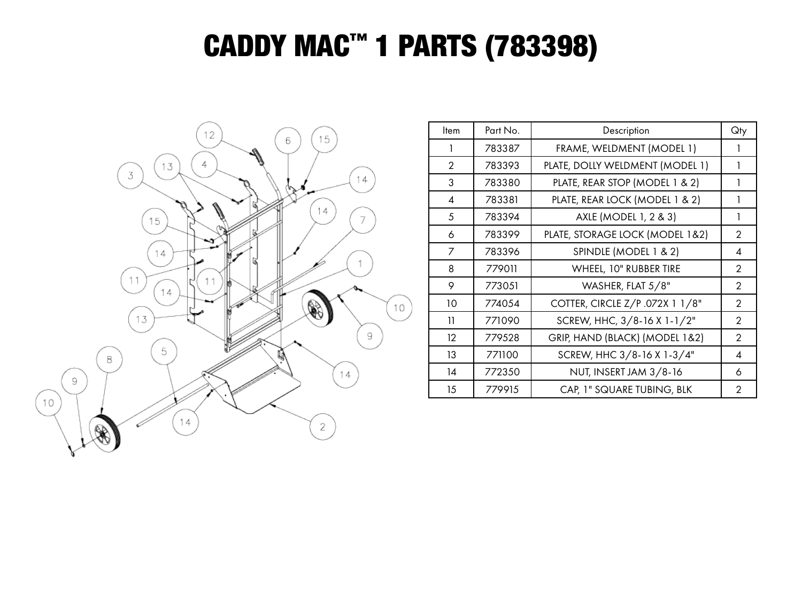## CADDY MAC™ 1 PARTS (783398)



| ltem           | Part No. | Description                     | Qty            |
|----------------|----------|---------------------------------|----------------|
|                | 783387   | FRAME, WELDMENT (MODEL 1)       |                |
| $\overline{2}$ | 783393   | PLATE, DOLLY WELDMENT (MODEL 1) | 1              |
| 3              | 783380   | PLATE, REAR STOP (MODEL 1 & 2)  | 1              |
| 4              | 783381   | PLATE, REAR LOCK (MODEL 1 & 2)  | 1              |
| 5              | 783394   | AXLE (MODEL 1, 2 & 3)           | 1              |
| 6              | 783399   | PLATE, STORAGE LOCK (MODEL 1&2) | $\mathcal{P}$  |
| 7              | 783396   | SPINDLE (MODEL 1 & 2)           | 4              |
| 8              | 779011   | WHEEL, 10" RUBBER TIRE          | $\overline{2}$ |
| 9              | 773051   | WASHER, FLAT 5/8"               | $\overline{2}$ |
| 10             | 774054   | COTTER, CIRCLE Z/P .072X 1 1/8" | $\overline{2}$ |
| 11             | 771090   | SCREW, HHC, 3/8-16 X 1-1/2"     | $\overline{2}$ |
| 12             | 779528   | GRIP, HAND (BLACK) (MODEL 1&2)  | $\overline{2}$ |
| 13             | 771100   | SCREW, HHC 3/8-16 X 1-3/4"      | 4              |
| 14             | 772350   | NUT, INSERT JAM 3/8-16          | 6              |
| 15             | 779915   | CAP, 1" SQUARE TUBING, BLK      | $\mathcal{P}$  |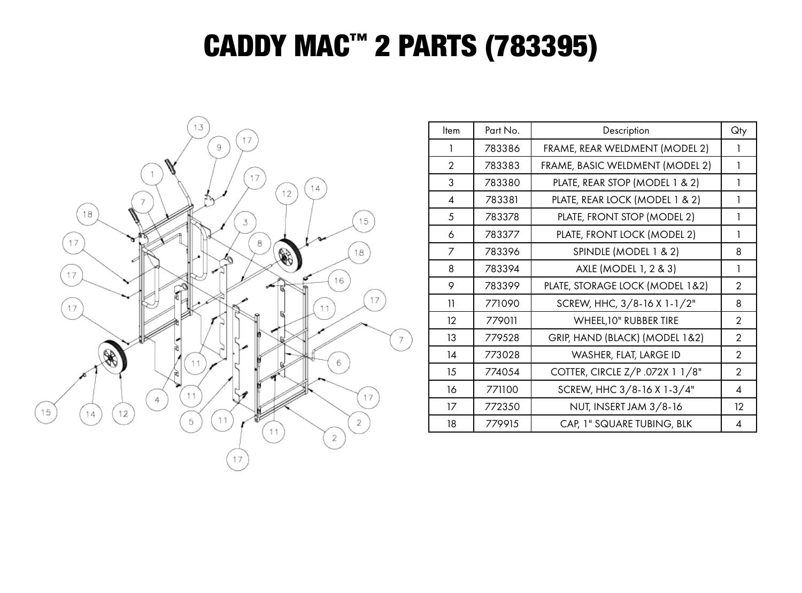## CADDY MAC™ 2 PARTS (783395)



| Item                     | Part No. | Description                     | Qty            |
|--------------------------|----------|---------------------------------|----------------|
| 1                        | 783386   | FRAME, REAR WELDMENT (MODEL 2)  | 1              |
| $\overline{2}$           | 783383   | FRAME, BASIC WELDMENT (MODEL 2) | 1              |
| 3                        | 783380   | PLATE, REAR STOP (MODEL 1 & 2)  | 1              |
| $\overline{\mathcal{A}}$ | 783381   | PLATE, REAR LOCK (MODEL 1 & 2)  | 1              |
| 5                        | 783378   | PLATE, FRONT STOP (MODEL 2)     | 1              |
| 6                        | 783377   | PLATE, FRONT LOCK (MODEL 2)     | 1              |
| 7                        | 783396   | SPINDLE (MODEL 1 & 2)           | 8              |
| 8                        | 783394   | AXLE (MODEL 1, 2 & 3)           | 1              |
| 9                        | 783399   | PLATE, STORAGE LOCK (MODEL 1&2) | $\overline{2}$ |
| 11                       | 771090   | SCREW, HHC, 3/8-16 X 1-1/2"     | 8              |
| 12                       | 779011   | <b>WHEEL, 10" RUBBER TIRE</b>   | $\overline{2}$ |
| 13                       | 779528   | GRIP, HAND (BLACK) (MODEL 1&2)  | $\overline{2}$ |
| 14                       | 773028   | WASHER, FLAT, LARGE ID          | $\overline{2}$ |
| 15                       | 774054   | COTTER, CIRCLE Z/P .072X 1 1/8" | $\overline{2}$ |
| 16                       | 771100   | SCREW, HHC 3/8-16 X 1-3/4"      | 4              |
| 17                       | 772350   | NUT, INSERT JAM 3/8-16          | $12 \,$        |
| 18                       | 779915   | CAP, 1" SQUARE TUBING, BLK      | 4              |